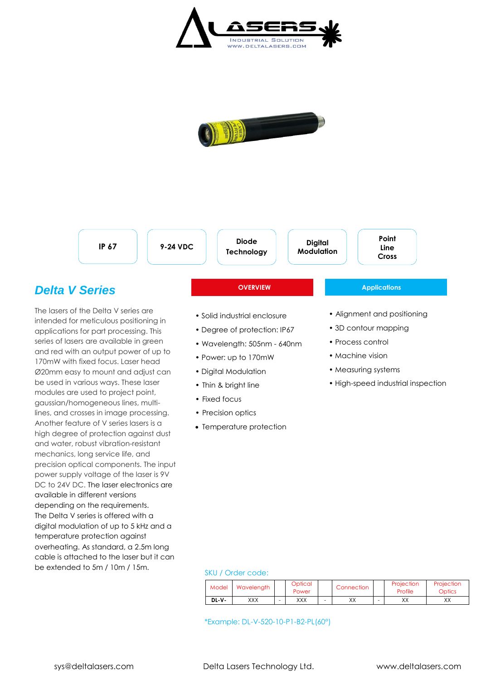



**IP 67 9-24 VDC**

**Diode Technology**

**Digital Modulation**

**OVERVIEW Applications** 

# **Cross**

**Point Line**

## *Delta V Series*

The lasers of the Delta V series are intended for meticulous positioning in applications for part processing. This series of lasers are available in green and red with an output power of up to 170mW with fixed focus. Laser head Ø20mm easy to mount and adjust can be used in various ways. These laser modules are used to project point, gaussian/homogeneous lines, multilines, and crosses in image processing. Another feature of V series lasers is a high degree of protection against dust and water, robust vibration-resistant mechanics, long service life, and precision optical components. The input power supply voltage of the laser is 9V DC to 24V DC. The laser electronics are available in different versions depending on the requirements. The Delta V series is offered with a digital modulation of up to 5 kHz and a temperature protection against overheating. As standard, a 2.5m long cable is attached to the laser but it can be extended to 5m / 10m / 15m.

## • Solid industrial enclosure

- Degree of protection: IP67
- Wavelength: 505nm 640nm
- Power: up to 170mW
- Digital Modulation
- Thin & bright line
- Fixed focus
- Precision optics
- Temperature protection

### • Alignment and positioning

- 3D contour mapping
- Process control
- Machine vision
- Measuring systems
- High-speed industrial inspection

#### SKU / Order code:

| Model | Wavelength | Optical<br>Power | Connection |  | Projection<br>Profile | Projection<br>Optics |  |
|-------|------------|------------------|------------|--|-----------------------|----------------------|--|
| DL-V- | XXX        | XXX              | vv<br>∧∧   |  | vv<br>∧∧              | $\vee\vee$<br>∧∧     |  |

\*Example: DL-V-520-10-P1-B2-PL(60°)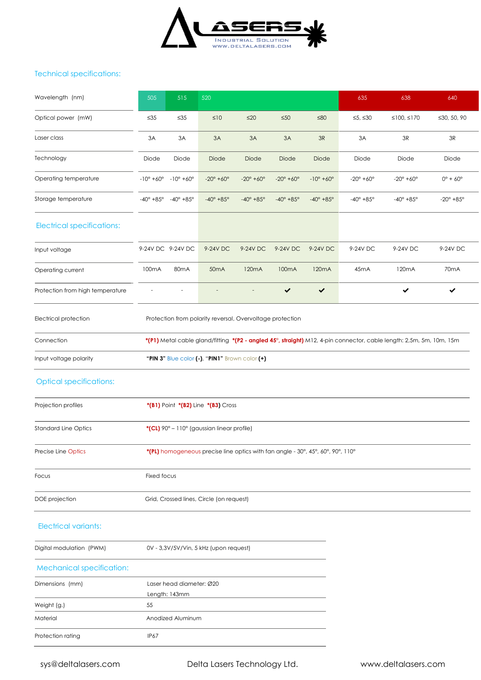

#### Technical specifications:

| Wavelength (nm)                                                                    | 505                                                                             | 515                                       | 520                                            |                            |                            |                            | 635                        | 638                                                                                                                 | 640                        |  |  |  |
|------------------------------------------------------------------------------------|---------------------------------------------------------------------------------|-------------------------------------------|------------------------------------------------|----------------------------|----------------------------|----------------------------|----------------------------|---------------------------------------------------------------------------------------------------------------------|----------------------------|--|--|--|
| Optical power (mW)                                                                 | $\leq 35$                                                                       | $\leq 35$                                 | $\leq 10$                                      | $≤20$                      | $\leq 50$                  | $≤80$                      | ≤5, ≤30                    | ≤100, ≤170                                                                                                          | ≤30, 50, 90                |  |  |  |
| Laser class                                                                        | 3A                                                                              | 3A                                        | 3A                                             | 3A                         | 3A                         | 3R                         | 3A                         | $3\mathsf{R}$                                                                                                       | $3\mathsf{R}$              |  |  |  |
| Technology                                                                         | Diode                                                                           | Diode                                     | Diode                                          | Diode                      | Diode                      | Diode                      | Diode                      | Diode                                                                                                               | Diode                      |  |  |  |
| Operating temperature                                                              | $-10^{\circ} + 60^{\circ}$                                                      | $-10^{\circ} + 60^{\circ}$                | $-20^{\circ} + 60^{\circ}$                     | $-20^{\circ} + 60^{\circ}$ | $-20^{\circ} + 60^{\circ}$ | $-10^{\circ} + 60^{\circ}$ | $-20^{\circ} + 60^{\circ}$ | $-20^{\circ} + 60^{\circ}$                                                                                          | $0^{\circ} + 60^{\circ}$   |  |  |  |
| Storage temperature                                                                | $-40^\circ +85^\circ$                                                           | $-40^{\circ}$ +85°                        | $-40^{\circ} + 85^{\circ}$                     | $-40^{\circ} + 85^{\circ}$ | $-40^{\circ} + 85^{\circ}$ | $-40^{\circ} + 85^{\circ}$ | $-40^{\circ} + 85^{\circ}$ | $-40^{\circ} + 85^{\circ}$                                                                                          | $-20^{\circ} + 85^{\circ}$ |  |  |  |
| <b>Electrical specifications:</b>                                                  |                                                                                 |                                           |                                                |                            |                            |                            |                            |                                                                                                                     |                            |  |  |  |
| Input voltage                                                                      |                                                                                 | 9-24V DC 9-24V DC                         | 9-24V DC                                       | 9-24V DC                   | 9-24V DC                   | 9-24V DC                   | 9-24V DC                   | 9-24V DC                                                                                                            | 9-24V DC                   |  |  |  |
| Operating current                                                                  | 100mA                                                                           | 80 <sub>m</sub> A                         | 50 <sub>m</sub> A                              | 120 <sub>m</sub> A         | 100 <sub>m</sub> A         | 120 <sub>m</sub> A         | 45mA                       | 120mA                                                                                                               | 70 <sub>m</sub> A          |  |  |  |
| Protection from high temperature                                                   |                                                                                 |                                           |                                                |                            | ✔                          | $\checkmark$               |                            | ✔                                                                                                                   | ✓                          |  |  |  |
| Electrical protection<br>Protection from polarity reversal, Overvoltage protection |                                                                                 |                                           |                                                |                            |                            |                            |                            |                                                                                                                     |                            |  |  |  |
| Connection                                                                         |                                                                                 |                                           |                                                |                            |                            |                            |                            | *(P1) Metal cable gland/fitting *(P2 - angled 45°, straight) M12, 4-pin connector, cable length: 2,5m, 5m, 10m, 15m |                            |  |  |  |
| Input voltage polarity                                                             |                                                                                 |                                           | "PIN 3" Blue color (-), "PIN1" Brown color (+) |                            |                            |                            |                            |                                                                                                                     |                            |  |  |  |
| <b>Optical specifications:</b>                                                     |                                                                                 |                                           |                                                |                            |                            |                            |                            |                                                                                                                     |                            |  |  |  |
| Projection profiles                                                                |                                                                                 |                                           | *(B1) Point *(B2) Line *(B3) Cross             |                            |                            |                            |                            |                                                                                                                     |                            |  |  |  |
| <b>Standard Line Optics</b>                                                        | *(CL) 90° - 110° (gaussian linear profile)                                      |                                           |                                                |                            |                            |                            |                            |                                                                                                                     |                            |  |  |  |
| Precise Line Optics                                                                | *(PL) homogeneous precise line optics with fan angle - 30°, 45°, 60°, 90°, 110° |                                           |                                                |                            |                            |                            |                            |                                                                                                                     |                            |  |  |  |
| Focus                                                                              | Fixed focus                                                                     |                                           |                                                |                            |                            |                            |                            |                                                                                                                     |                            |  |  |  |
| DOE projection                                                                     | Grid, Crossed lines, Circle (on request)                                        |                                           |                                                |                            |                            |                            |                            |                                                                                                                     |                            |  |  |  |
| <b>Electrical variants:</b>                                                        |                                                                                 |                                           |                                                |                            |                            |                            |                            |                                                                                                                     |                            |  |  |  |
| Digital modulation (PWM)                                                           |                                                                                 |                                           | 0V - 3,3V/5V/Vin, 5 kHz (upon request)         |                            |                            |                            |                            |                                                                                                                     |                            |  |  |  |
| Mechanical specification:                                                          |                                                                                 |                                           |                                                |                            |                            |                            |                            |                                                                                                                     |                            |  |  |  |
| Dimensions (mm)                                                                    |                                                                                 | Laser head diameter: Ø20<br>Length: 143mm |                                                |                            |                            |                            |                            |                                                                                                                     |                            |  |  |  |
| Weight (g.)                                                                        | 55                                                                              |                                           |                                                |                            |                            |                            |                            |                                                                                                                     |                            |  |  |  |
| Material                                                                           |                                                                                 | Anodized Aluminum                         |                                                |                            |                            |                            |                            |                                                                                                                     |                            |  |  |  |
| Protection rating                                                                  | <b>IP67</b>                                                                     |                                           |                                                |                            |                            |                            |                            |                                                                                                                     |                            |  |  |  |

sys@deltalasers.com Delta Lasers Technology Ltd. www.deltalasers.com